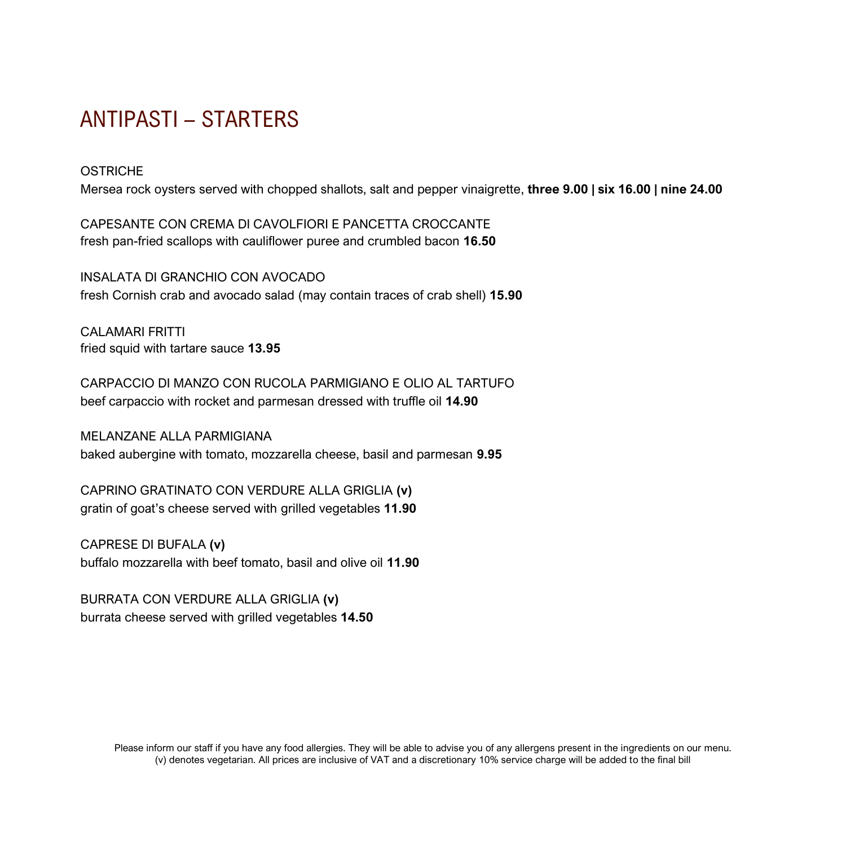# ANTIPASTI – STARTERS

**OSTRICHE** 

Mersea rock oysters served with chopped shallots, salt and pepper vinaigrette, **three 9.00 | six 16.00 | nine 24.00**

CAPESANTE CON CREMA DI CAVOLFIORI E PANCETTA CROCCANTE fresh pan-fried scallops with cauliflower puree and crumbled bacon **16.50**

INSALATA DI GRANCHIO CON AVOCADO fresh Cornish crab and avocado salad (may contain traces of crab shell) **15.90**

CALAMARI FRITTI fried squid with tartare sauce **13.95**

CARPACCIO DI MANZO CON RUCOLA PARMIGIANO E OLIO AL TARTUFO beef carpaccio with rocket and parmesan dressed with truffle oil **14.90**

MELANZANE ALLA PARMIGIANA baked aubergine with tomato, mozzarella cheese, basil and parmesan **9.95**

CAPRINO GRATINATO CON VERDURE ALLA GRIGLIA **(v)** gratin of goat's cheese served with grilled vegetables **11.90**

CAPRESE DI BUFALA **(v)** buffalo mozzarella with beef tomato, basil and olive oil **11.90**

BURRATA CON VERDURE ALLA GRIGLIA **(v)** burrata cheese served with grilled vegetables **14.50**

> Please inform our staff if you have any food allergies. They will be able to advise you of any allergens present in the ingredients on our menu. (v) denotes vegetarian. All prices are inclusive of VAT and a discretionary 10% service charge will be added to the final bill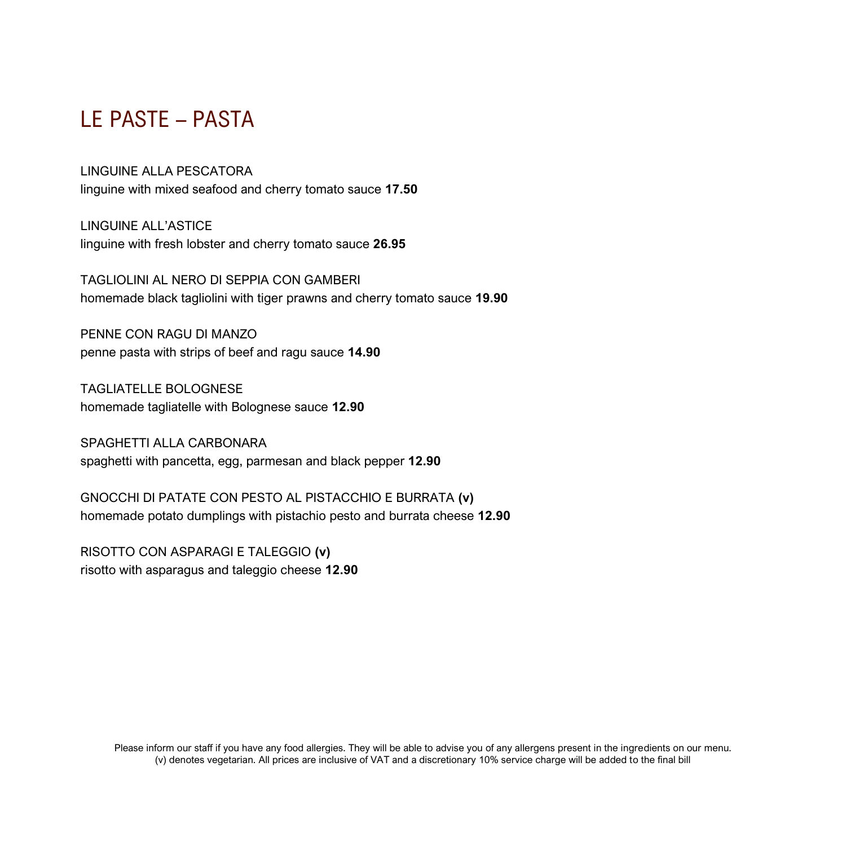# LE PASTE – PASTA

#### LINGUINE ALLA PESCATORA

linguine with mixed seafood and cherry tomato sauce **17.50**

LINGUINE ALL'ASTICE linguine with fresh lobster and cherry tomato sauce **26.95**

TAGLIOLINI AL NERO DI SEPPIA CON GAMBERI homemade black tagliolini with tiger prawns and cherry tomato sauce **19.90**

PENNE CON RAGU DI MANZO penne pasta with strips of beef and ragu sauce **14.90**

TAGLIATELLE BOLOGNESE homemade tagliatelle with Bolognese sauce **12.90**

SPAGHETTI ALLA CARBONARA spaghetti with pancetta, egg, parmesan and black pepper **12.90**

GNOCCHI DI PATATE CON PESTO AL PISTACCHIO E BURRATA **(v)** homemade potato dumplings with pistachio pesto and burrata cheese **12.90**

RISOTTO CON ASPARAGI E TALEGGIO **(v)** risotto with asparagus and taleggio cheese **12.90**